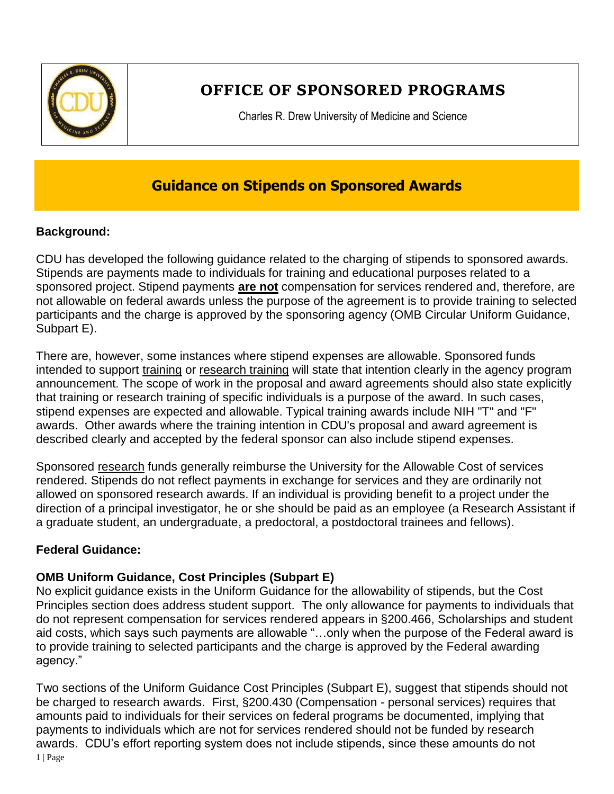

# **OFFICE OF SPONSORED PROGRAMS**

Charles R. Drew University of Medicine and Science

## **Guidance on Stipends on Sponsored Awards**

## **Background:**

CDU has developed the following guidance related to the charging of stipends to sponsored awards. Stipends are payments made to individuals for training and educational purposes related to a sponsored project. Stipend payments **are not** compensation for services rendered and, therefore, are not allowable on federal awards unless the purpose of the agreement is to provide training to selected participants and the charge is approved by the sponsoring agency (OMB Circular Uniform Guidance, Subpart E).

There are, however, some instances where stipend expenses are allowable. Sponsored funds intended to support training or research training will state that intention clearly in the agency program announcement. The scope of work in the proposal and award agreements should also state explicitly that training or research training of specific individuals is a purpose of the award. In such cases, stipend expenses are expected and allowable. Typical training awards include NIH "T" and "F" awards. Other awards where the training intention in CDU's proposal and award agreement is described clearly and accepted by the federal sponsor can also include stipend expenses.

Sponsored research funds generally reimburse the University for the Allowable Cost of services rendered. Stipends do not reflect payments in exchange for services and they are ordinarily not allowed on sponsored research awards. If an individual is providing benefit to a project under the direction of a principal investigator, he or she should be paid as an employee (a Research Assistant if a graduate student, an undergraduate, a predoctoral, a postdoctoral trainees and fellows).

## **Federal Guidance:**

## **OMB Uniform Guidance, Cost Principles (Subpart E)**

No explicit guidance exists in the Uniform Guidance for the allowability of stipends, but the Cost Principles section does address student support. The only allowance for payments to individuals that do not represent compensation for services rendered appears in §200.466, Scholarships and student aid costs, which says such payments are allowable "…only when the purpose of the Federal award is to provide training to selected participants and the charge is approved by the Federal awarding agency."

1 | Page Two sections of the Uniform Guidance Cost Principles (Subpart E), suggest that stipends should not be charged to research awards. First, §200.430 (Compensation - personal services) requires that amounts paid to individuals for their services on federal programs be documented, implying that payments to individuals which are not for services rendered should not be funded by research awards. CDU's effort reporting system does not include stipends, since these amounts do not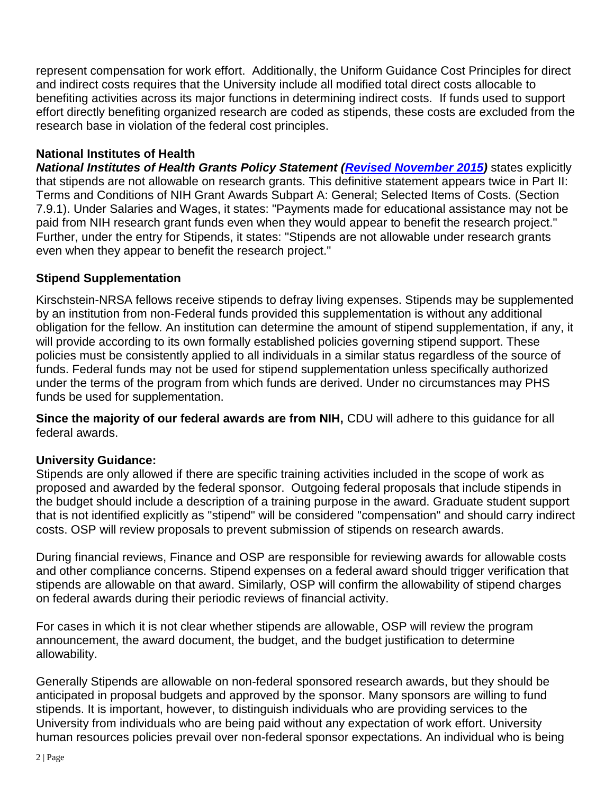represent compensation for work effort. Additionally, the Uniform Guidance Cost Principles for direct and indirect costs requires that the University include all modified total direct costs allocable to benefiting activities across its major functions in determining indirect costs. If funds used to support effort directly benefiting organized research are coded as stipends, these costs are excluded from the research base in violation of the federal cost principles.

## **National Institutes of Health**

**National Institutes of Health Grants Policy Statement** *[\(Revised November 2015\)](https://grants.nih.gov/grants/policy/nihgps/HTML5/section_7/7.9_allowability_of_costs_activities.htm)* **states explicitly** that stipends are not allowable on research grants. This definitive statement appears twice in Part II: Terms and Conditions of NIH Grant Awards Subpart A: General; Selected Items of Costs. (Section 7.9.1). Under Salaries and Wages, it states: "Payments made for educational assistance may not be paid from NIH research grant funds even when they would appear to benefit the research project." Further, under the entry for Stipends, it states: "Stipends are not allowable under research grants even when they appear to benefit the research project."

### **Stipend Supplementation**

Kirschstein-NRSA fellows receive stipends to defray living expenses. Stipends may be supplemented by an institution from non-Federal funds provided this supplementation is without any additional obligation for the fellow. An institution can determine the amount of stipend supplementation, if any, it will provide according to its own formally established policies governing stipend support. These policies must be consistently applied to all individuals in a similar status regardless of the source of funds. Federal funds may not be used for stipend supplementation unless specifically authorized under the terms of the program from which funds are derived. Under no circumstances may PHS funds be used for supplementation.

**Since the majority of our federal awards are from NIH, CDU will adhere to this guidance for all** federal awards.

#### **University Guidance:**

Stipends are only allowed if there are specific training activities included in the scope of work as proposed and awarded by the federal sponsor. Outgoing federal proposals that include stipends in the budget should include a description of a training purpose in the award. Graduate student support that is not identified explicitly as "stipend" will be considered "compensation" and should carry indirect costs. OSP will review proposals to prevent submission of stipends on research awards.

During financial reviews, Finance and OSP are responsible for reviewing awards for allowable costs and other compliance concerns. Stipend expenses on a federal award should trigger verification that stipends are allowable on that award. Similarly, OSP will confirm the allowability of stipend charges on federal awards during their periodic reviews of financial activity.

For cases in which it is not clear whether stipends are allowable, OSP will review the program announcement, the award document, the budget, and the budget justification to determine allowability.

Generally Stipends are allowable on non-federal sponsored research awards, but they should be anticipated in proposal budgets and approved by the sponsor. Many sponsors are willing to fund stipends. It is important, however, to distinguish individuals who are providing services to the University from individuals who are being paid without any expectation of work effort. University human resources policies prevail over non-federal sponsor expectations. An individual who is being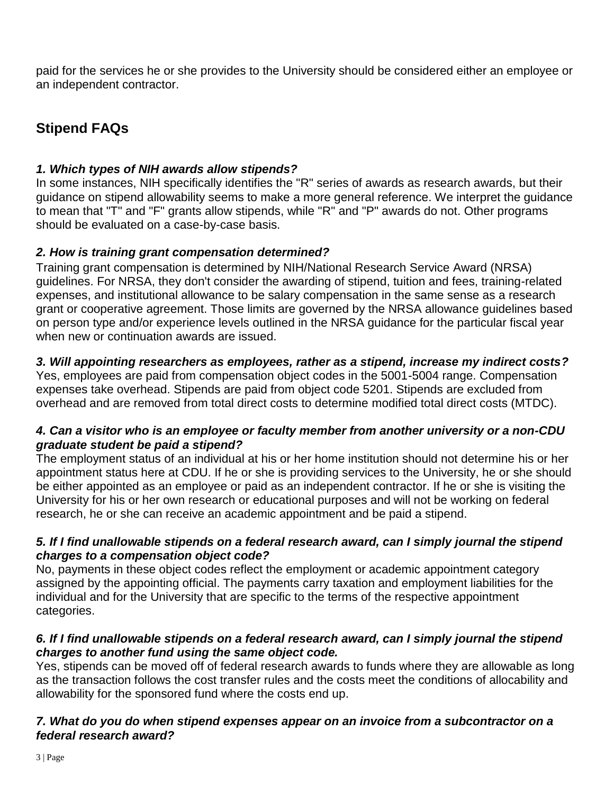paid for the services he or she provides to the University should be considered either an employee or an independent contractor.

## **Stipend FAQs**

## *1. Which types of NIH awards allow stipends?*

In some instances, NIH specifically identifies the "R" series of awards as research awards, but their guidance on stipend allowability seems to make a more general reference. We interpret the guidance to mean that "T" and "F" grants allow stipends, while "R" and "P" awards do not. Other programs should be evaluated on a case-by-case basis.

## *2. How is training grant compensation determined?*

Training grant compensation is determined by NIH/National Research Service Award (NRSA) guidelines. For NRSA, they don't consider the awarding of stipend, tuition and fees, training-related expenses, and institutional allowance to be salary compensation in the same sense as a research grant or cooperative agreement. Those limits are governed by the NRSA allowance guidelines based on person type and/or experience levels outlined in the NRSA guidance for the particular fiscal year when new or continuation awards are issued.

## *3. Will appointing researchers as employees, rather as a stipend, increase my indirect costs?*

Yes, employees are paid from compensation object codes in the 5001-5004 range. Compensation expenses take overhead. Stipends are paid from object code 5201. Stipends are excluded from overhead and are removed from total direct costs to determine modified total direct costs (MTDC).

### *4. Can a visitor who is an employee or faculty member from another university or a non-CDU graduate student be paid a stipend?*

The employment status of an individual at his or her home institution should not determine his or her appointment status here at CDU. If he or she is providing services to the University, he or she should be either appointed as an employee or paid as an independent contractor. If he or she is visiting the University for his or her own research or educational purposes and will not be working on federal research, he or she can receive an academic appointment and be paid a stipend.

### *5. If I find unallowable stipends on a federal research award, can I simply journal the stipend charges to a compensation object code?*

No, payments in these object codes reflect the employment or academic appointment category assigned by the appointing official. The payments carry taxation and employment liabilities for the individual and for the University that are specific to the terms of the respective appointment categories.

## *6. If I find unallowable stipends on a federal research award, can I simply journal the stipend charges to another fund using the same object code.*

Yes, stipends can be moved off of federal research awards to funds where they are allowable as long as the transaction follows the cost transfer rules and the costs meet the conditions of allocability and allowability for the sponsored fund where the costs end up.

### *7. What do you do when stipend expenses appear on an invoice from a subcontractor on a federal research award?*